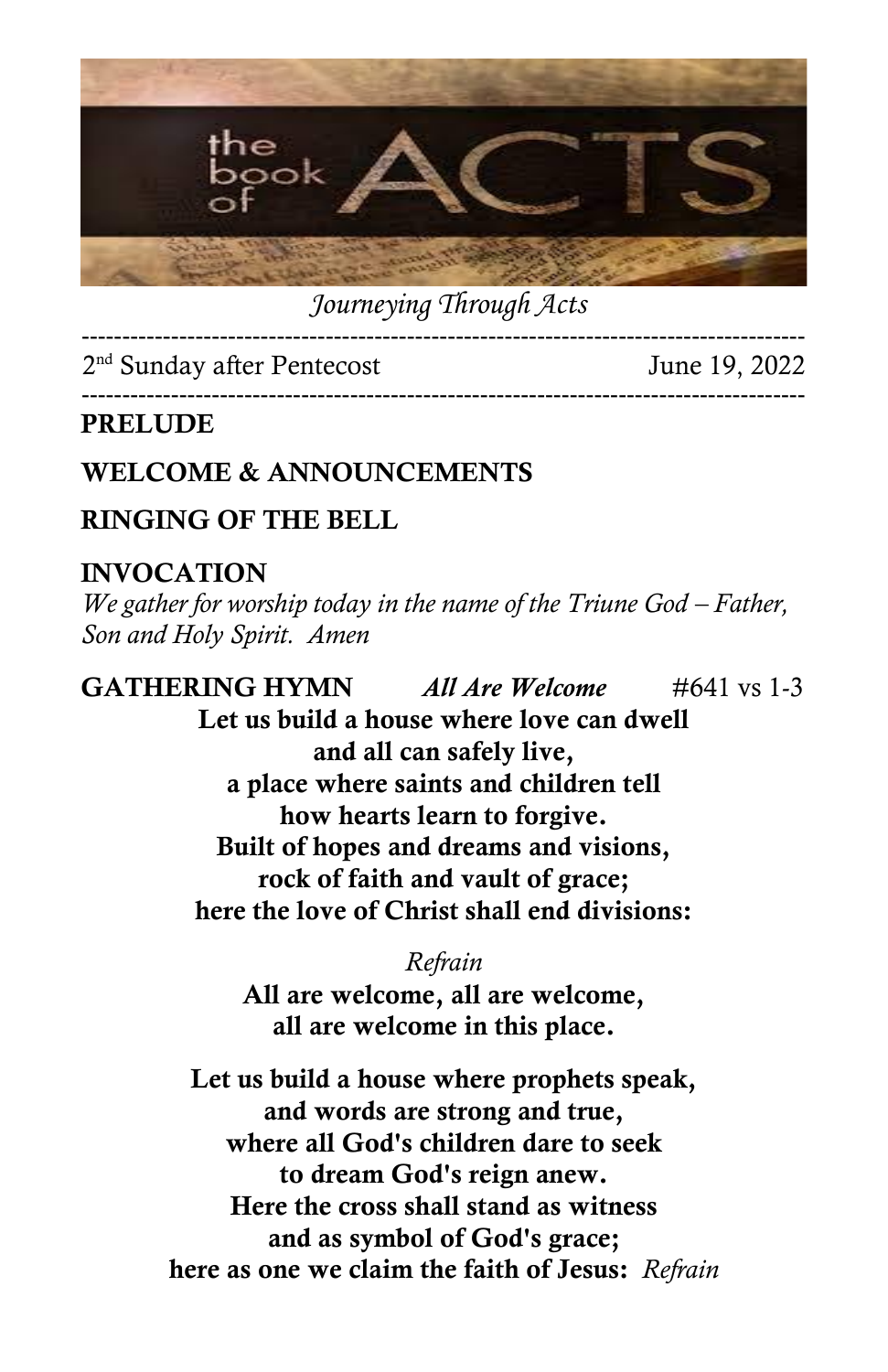

*Journeying Through Acts*

| $2nd$ Sunday after Pentecost | June 19, 2022 |
|------------------------------|---------------|
|                              |               |

#### **PRELUDE**

#### WELCOME & ANNOUNCEMENTS

#### RINGING OF THE BELL

#### INVOCATION

*We gather for worship today in the name of the Triune God – Father, Son and Holy Spirit. Amen*

GATHERING HYMN *All Are Welcome* #641 vs 1-3 Let us build a house where love can dwell and all can safely live, a place where saints and children tell how hearts learn to forgive. Built of hopes and dreams and visions, rock of faith and vault of grace; here the love of Christ shall end divisions:

*Refrain*

All are welcome, all are welcome, all are welcome in this place.

Let us build a house where prophets speak, and words are strong and true, where all God's children dare to seek to dream God's reign anew. Here the cross shall stand as witness and as symbol of God's grace; here as one we claim the faith of Jesus: *Refrain*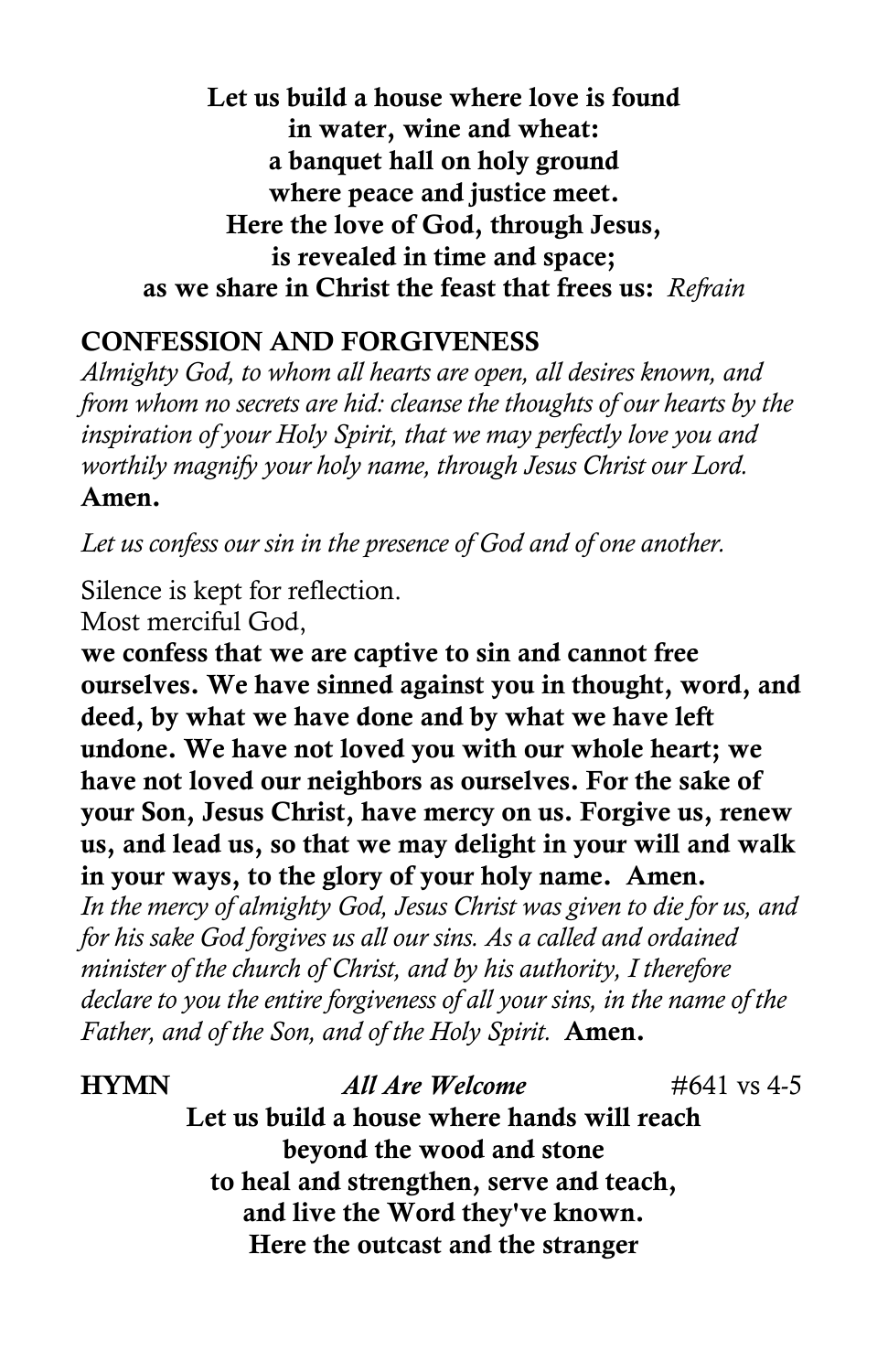Let us build a house where love is found in water, wine and wheat: a banquet hall on holy ground where peace and justice meet. Here the love of God, through Jesus, is revealed in time and space; as we share in Christ the feast that frees us: *Refrain*

## CONFESSION AND FORGIVENESS

*Almighty God, to whom all hearts are open, all desires known, and from whom no secrets are hid: cleanse the thoughts of our hearts by the inspiration of your Holy Spirit, that we may perfectly love you and worthily magnify your holy name, through Jesus Christ our Lord.* Amen.

*Let us confess our sin in the presence of God and of one another.*

Silence is kept for reflection. Most merciful God,

we confess that we are captive to sin and cannot free ourselves. We have sinned against you in thought, word, and deed, by what we have done and by what we have left undone. We have not loved you with our whole heart; we have not loved our neighbors as ourselves. For the sake of your Son, Jesus Christ, have mercy on us. Forgive us, renew us, and lead us, so that we may delight in your will and walk in your ways, to the glory of your holy name. Amen.

*In the mercy of almighty God, Jesus Christ was given to die for us, and for his sake God forgives us all our sins. As a called and ordained minister of the church of Christ, and by his authority, I therefore declare to you the entire forgiveness of all your sins, in the name of the Father, and of the Son, and of the Holy Spirit.* Amen.

HYMN *All Are Welcome* #641 vs 4-5

Let us build a house where hands will reach beyond the wood and stone to heal and strengthen, serve and teach, and live the Word they've known. Here the outcast and the stranger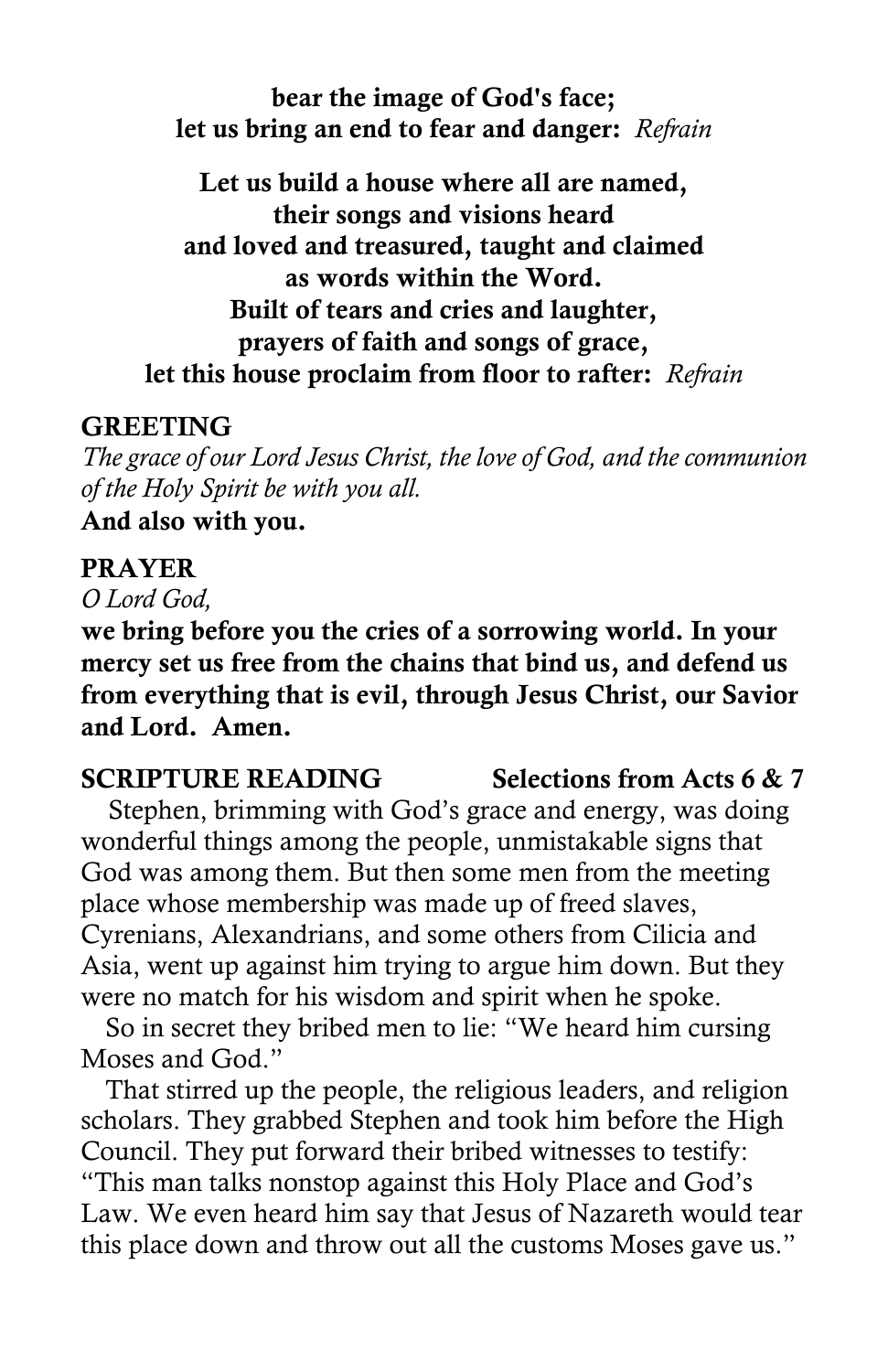bear the image of God's face; let us bring an end to fear and danger: *Refrain*

Let us build a house where all are named, their songs and visions heard and loved and treasured, taught and claimed as words within the Word. Built of tears and cries and laughter, prayers of faith and songs of grace, let this house proclaim from floor to rafter: *Refrain*

#### **GREETING**

*The grace of our Lord Jesus Christ, the love of God, and the communion of the Holy Spirit be with you all.* And also with you.

#### PRAYER

*O Lord God,* 

we bring before you the cries of a sorrowing world. In your mercy set us free from the chains that bind us, and defend us from everything that is evil, through Jesus Christ, our Savior and Lord. Amen.

#### SCRIPTURE READING Selections from Acts 6 & 7

 Stephen, brimming with God's grace and energy, was doing wonderful things among the people, unmistakable signs that God was among them. But then some men from the meeting place whose membership was made up of freed slaves, Cyrenians, Alexandrians, and some others from Cilicia and Asia, went up against him trying to argue him down. But they were no match for his wisdom and spirit when he spoke.

 So in secret they bribed men to lie: "We heard him cursing Moses and God."

 That stirred up the people, the religious leaders, and religion scholars. They grabbed Stephen and took him before the High Council. They put forward their bribed witnesses to testify: "This man talks nonstop against this Holy Place and God's Law. We even heard him say that Jesus of Nazareth would tear this place down and throw out all the customs Moses gave us."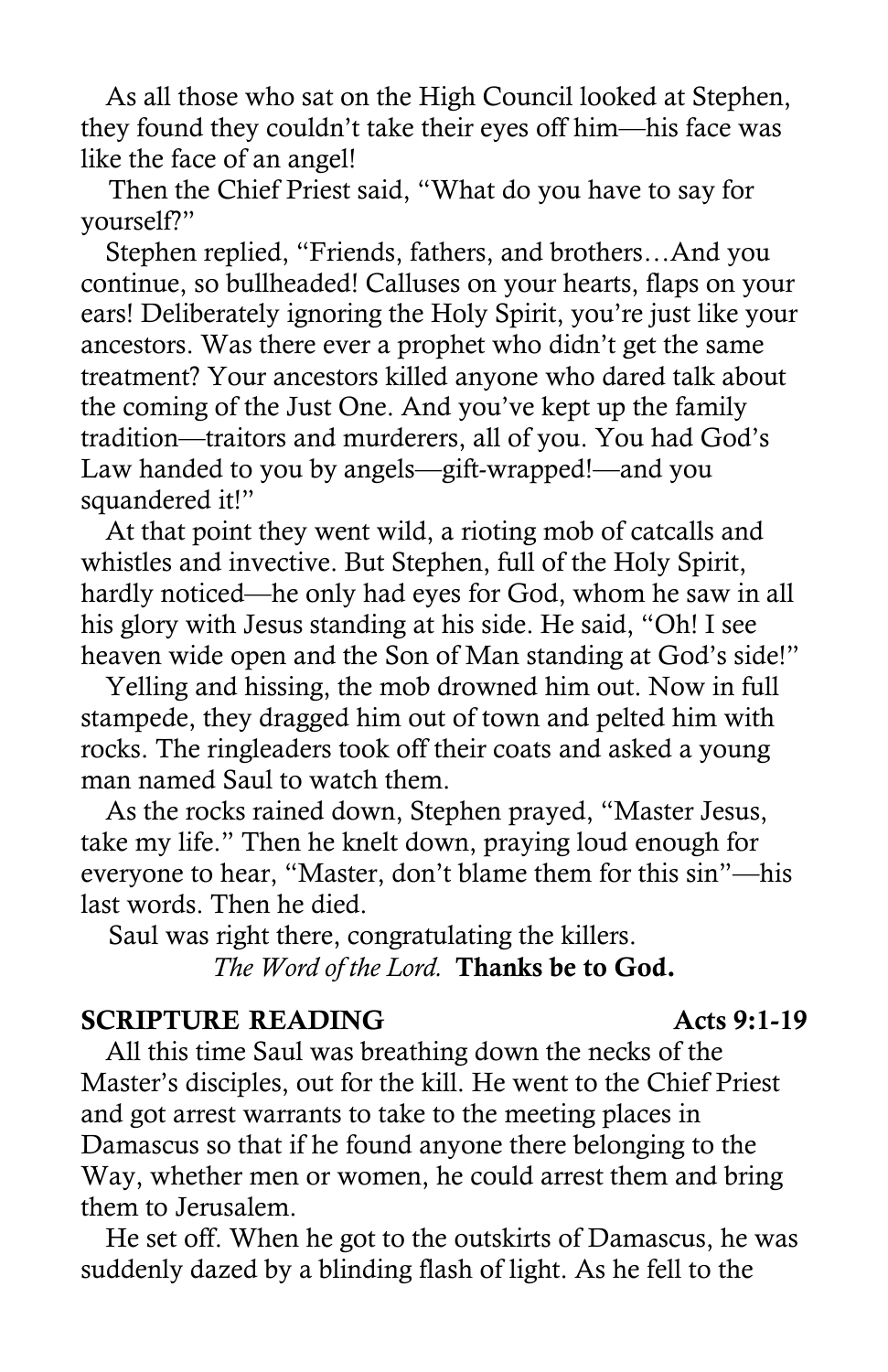As all those who sat on the High Council looked at Stephen, they found they couldn't take their eyes off him—his face was like the face of an angel!

 Then the Chief Priest said, "What do you have to say for yourself?"

 Stephen replied, "Friends, fathers, and brothers…And you continue, so bullheaded! Calluses on your hearts, flaps on your ears! Deliberately ignoring the Holy Spirit, you're just like your ancestors. Was there ever a prophet who didn't get the same treatment? Your ancestors killed anyone who dared talk about the coming of the Just One. And you've kept up the family tradition—traitors and murderers, all of you. You had God's Law handed to you by angels—gift-wrapped!—and you squandered it!"

 At that point they went wild, a rioting mob of catcalls and whistles and invective. But Stephen, full of the Holy Spirit, hardly noticed—he only had eyes for God, whom he saw in all his glory with Jesus standing at his side. He said, "Oh! I see heaven wide open and the Son of Man standing at God's side!"

 Yelling and hissing, the mob drowned him out. Now in full stampede, they dragged him out of town and pelted him with rocks. The ringleaders took off their coats and asked a young man named Saul to watch them.

 As the rocks rained down, Stephen prayed, "Master Jesus, take my life." Then he knelt down, praying loud enough for everyone to hear, "Master, don't blame them for this sin"—his last words. Then he died.

 Saul was right there, congratulating the killers. *The Word of the Lord.* Thanks be to God.

#### SCRIPTURE READING Acts 9:1-19

 All this time Saul was breathing down the necks of the Master's disciples, out for the kill. He went to the Chief Priest and got arrest warrants to take to the meeting places in Damascus so that if he found anyone there belonging to the Way, whether men or women, he could arrest them and bring them to Jerusalem.

 He set off. When he got to the outskirts of Damascus, he was suddenly dazed by a blinding flash of light. As he fell to the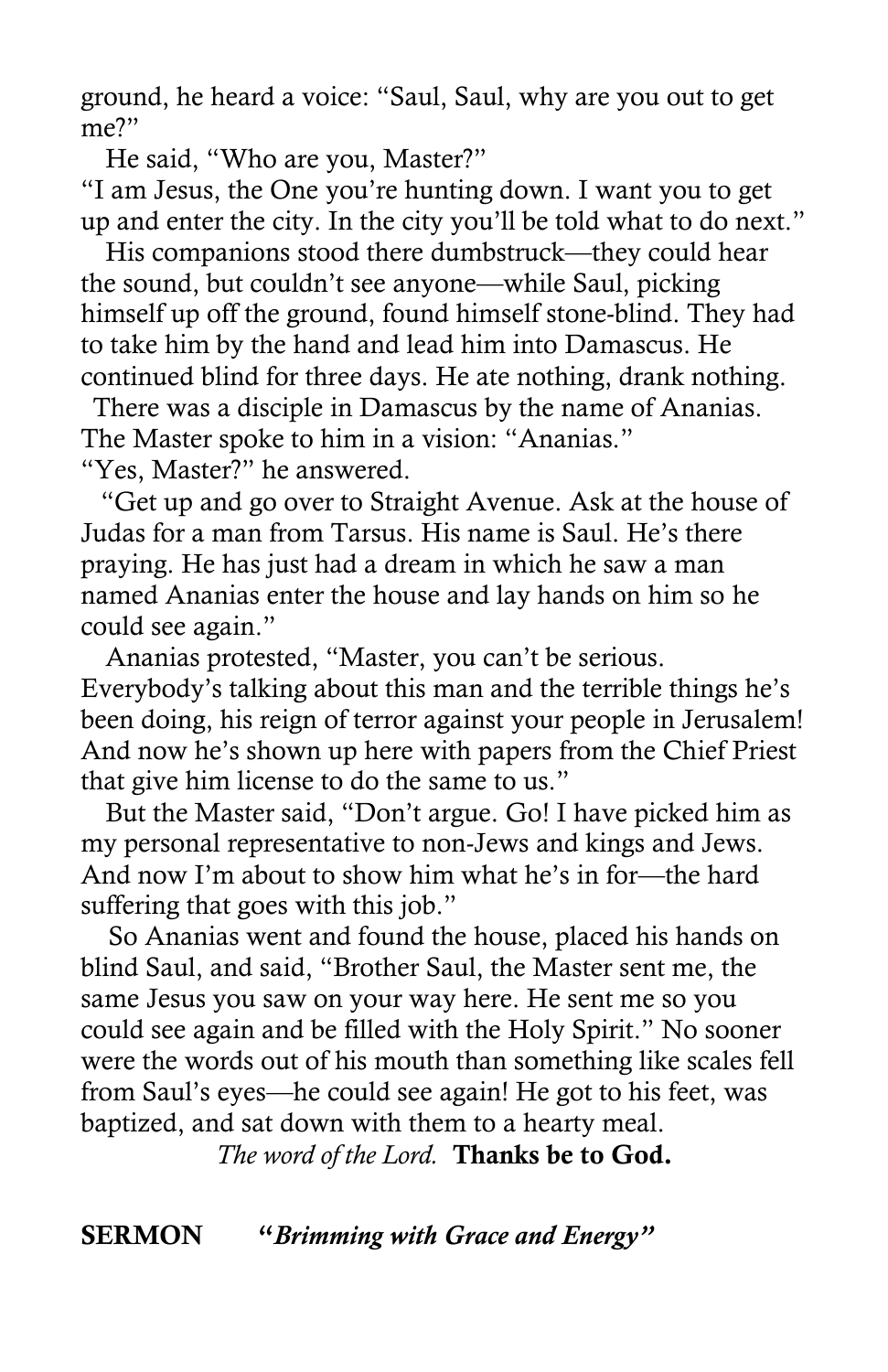ground, he heard a voice: "Saul, Saul, why are you out to get me?"

He said, "Who are you, Master?"

"I am Jesus, the One you're hunting down. I want you to get up and enter the city. In the city you'll be told what to do next."

 His companions stood there dumbstruck—they could hear the sound, but couldn't see anyone—while Saul, picking himself up off the ground, found himself stone-blind. They had to take him by the hand and lead him into Damascus. He continued blind for three days. He ate nothing, drank nothing.

 There was a disciple in Damascus by the name of Ananias. The Master spoke to him in a vision: "Ananias." "Yes, Master?" he answered.

 "Get up and go over to Straight Avenue. Ask at the house of Judas for a man from Tarsus. His name is Saul. He's there praying. He has just had a dream in which he saw a man named Ananias enter the house and lay hands on him so he could see again."

 Ananias protested, "Master, you can't be serious. Everybody's talking about this man and the terrible things he's been doing, his reign of terror against your people in Jerusalem! And now he's shown up here with papers from the Chief Priest that give him license to do the same to us."

 But the Master said, "Don't argue. Go! I have picked him as my personal representative to non-Jews and kings and Jews. And now I'm about to show him what he's in for—the hard suffering that goes with this job."

 So Ananias went and found the house, placed his hands on blind Saul, and said, "Brother Saul, the Master sent me, the same Jesus you saw on your way here. He sent me so you could see again and be filled with the Holy Spirit." No sooner were the words out of his mouth than something like scales fell from Saul's eyes—he could see again! He got to his feet, was baptized, and sat down with them to a hearty meal.

*The word of the Lord.* Thanks be to God.

SERMON "*Brimming with Grace and Energy"*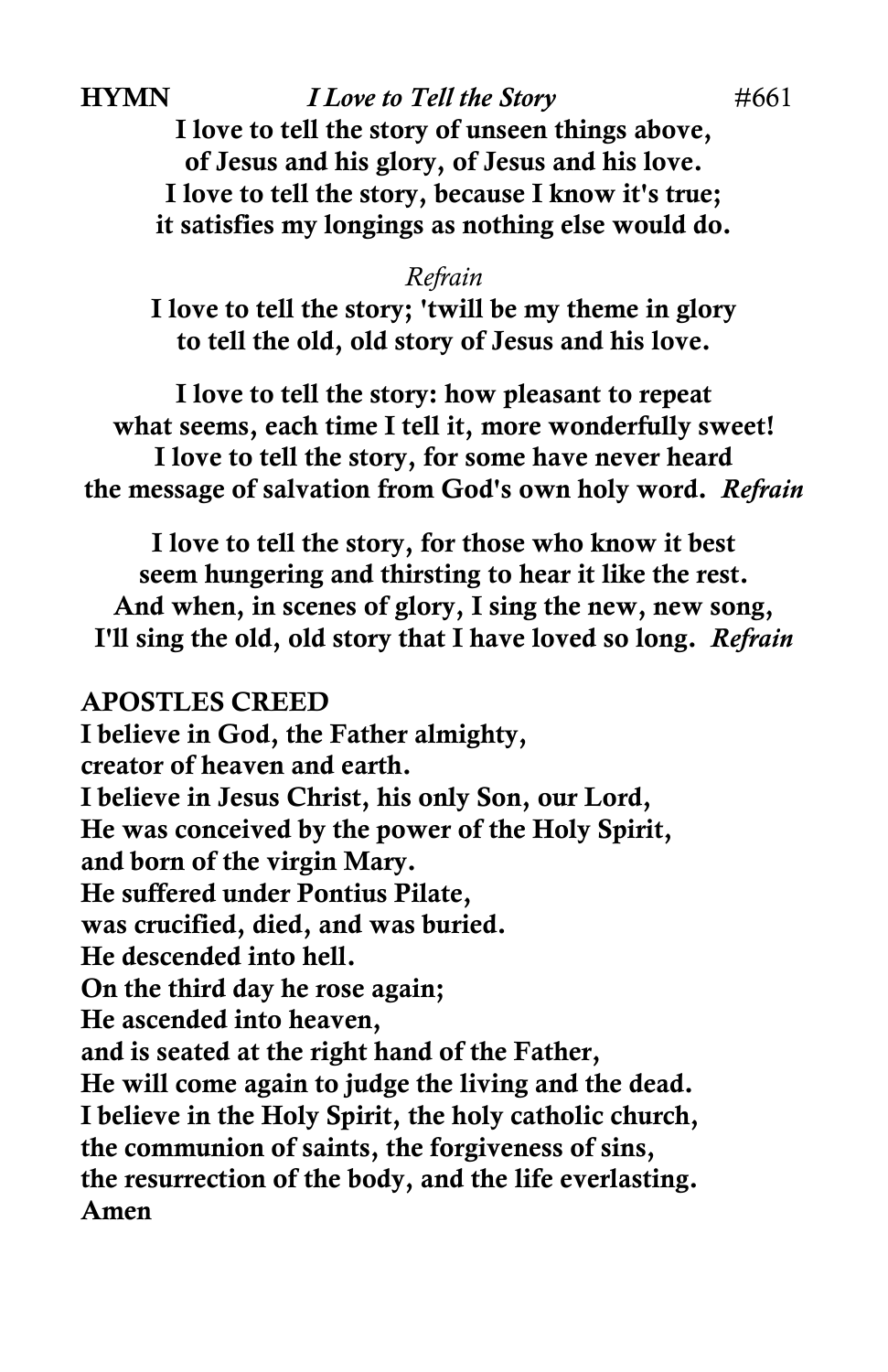#### **HYMN** *I Love to Tell the Story* #661

I love to tell the story of unseen things above, of Jesus and his glory, of Jesus and his love. I love to tell the story, because I know it's true; it satisfies my longings as nothing else would do.

#### *Refrain*

I love to tell the story; 'twill be my theme in glory to tell the old, old story of Jesus and his love.

I love to tell the story: how pleasant to repeat what seems, each time I tell it, more wonderfully sweet! I love to tell the story, for some have never heard the message of salvation from God's own holy word. *Refrain*

I love to tell the story, for those who know it best seem hungering and thirsting to hear it like the rest. And when, in scenes of glory, I sing the new, new song, I'll sing the old, old story that I have loved so long. *Refrain*

#### APOSTLES CREED

I believe in God, the Father almighty, creator of heaven and earth. I believe in Jesus Christ, his only Son, our Lord, He was conceived by the power of the Holy Spirit, and born of the virgin Mary. He suffered under Pontius Pilate, was crucified, died, and was buried. He descended into hell. On the third day he rose again; He ascended into heaven, and is seated at the right hand of the Father, He will come again to judge the living and the dead. I believe in the Holy Spirit, the holy catholic church, the communion of saints, the forgiveness of sins, the resurrection of the body, and the life everlasting. Amen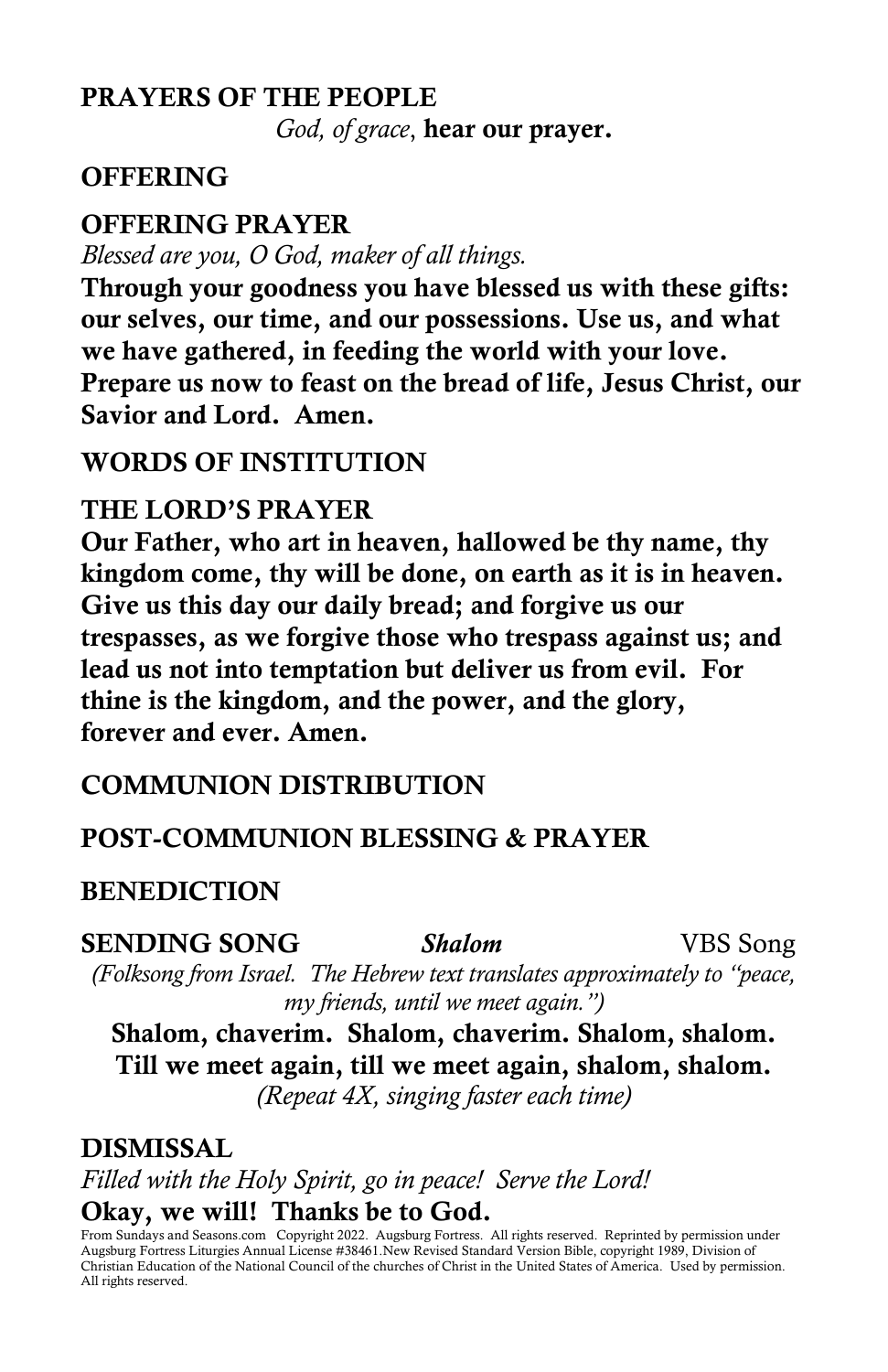#### PRAYERS OF THE PEOPLE

*God, of grace*, hear our prayer.

#### **OFFERING**

#### OFFERING PRAYER

*Blessed are you, O God, maker of all things.* 

Through your goodness you have blessed us with these gifts: our selves, our time, and our possessions. Use us, and what we have gathered, in feeding the world with your love. Prepare us now to feast on the bread of life, Jesus Christ, our Savior and Lord. Amen.

#### WORDS OF INSTITUTION

#### THE LORD'S PRAYER

Our Father, who art in heaven, hallowed be thy name, thy kingdom come, thy will be done, on earth as it is in heaven. Give us this day our daily bread; and forgive us our trespasses, as we forgive those who trespass against us; and lead us not into temptation but deliver us from evil. For thine is the kingdom, and the power, and the glory, forever and ever. Amen.

#### COMMUNION DISTRIBUTION

### POST-COMMUNION BLESSING & PRAYER

#### **BENEDICTION**

**SENDING SONG** *Shalom* **VBS** Song *(Folksong from Israel. The Hebrew text translates approximately to "peace,* 

*my friends, until we meet again.")*

Shalom, chaverim. Shalom, chaverim. Shalom, shalom. Till we meet again, till we meet again, shalom, shalom. *(Repeat 4X, singing faster each time)*

### DISMISSAL

*Filled with the Holy Spirit, go in peace! Serve the Lord!*  Okay, we will! Thanks be to God.

From Sundays and Seasons.com Copyright 2022. Augsburg Fortress. All rights reserved. Reprinted by permission under Augsburg Fortress Liturgies Annual License #38461.New Revised Standard Version Bible, copyright 1989, Division of Christian Education of the National Council of the churches of Christ in the United States of America. Used by permission. All rights reserved.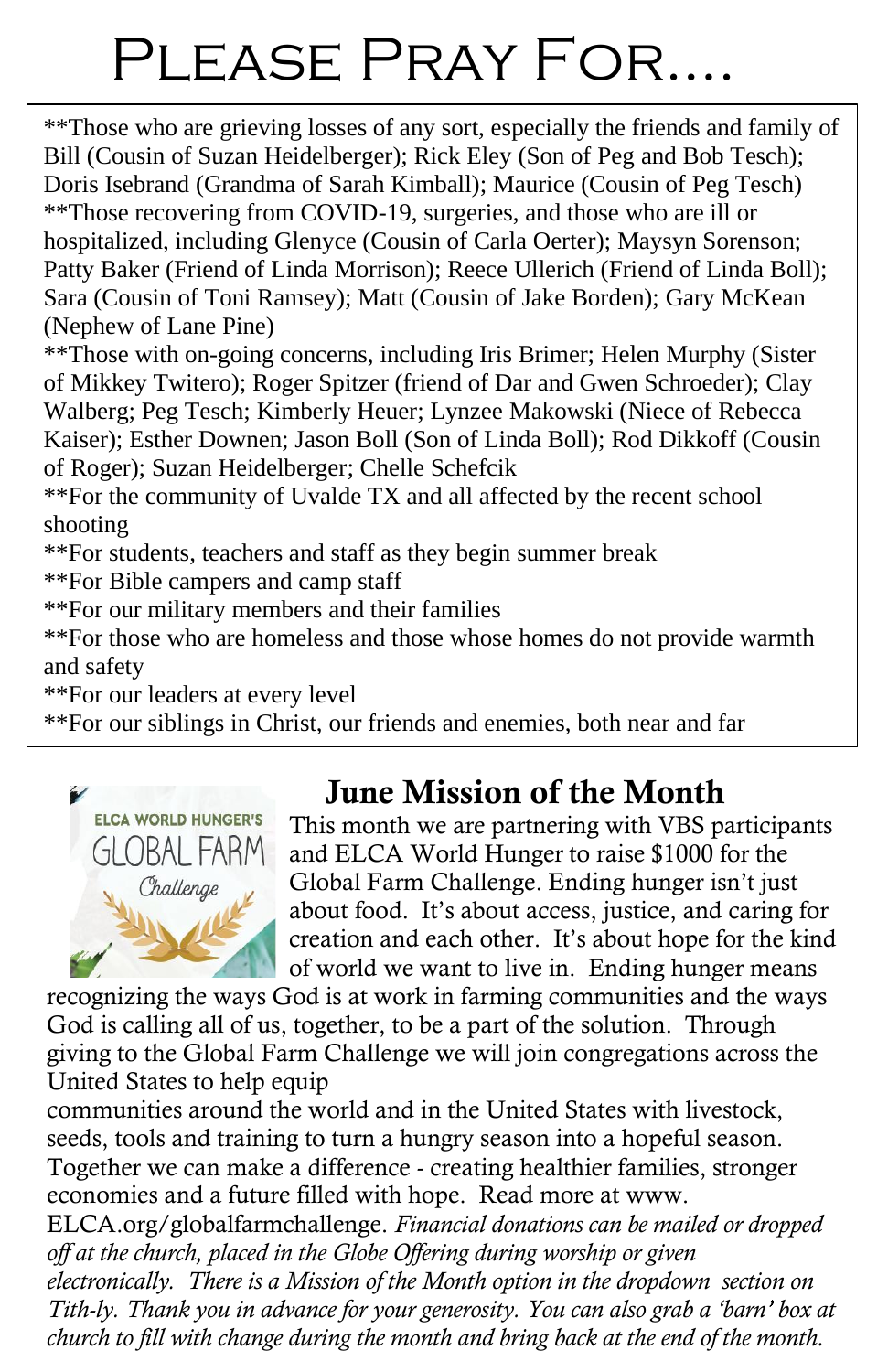## Please Pray For….

\*\*Those who are grieving losses of any sort, especially the friends and family of Bill (Cousin of Suzan Heidelberger); Rick Eley (Son of Peg and Bob Tesch); Doris Isebrand (Grandma of Sarah Kimball); Maurice (Cousin of Peg Tesch) \*\*Those recovering from COVID-19, surgeries, and those who are ill or hospitalized, including Glenyce (Cousin of Carla Oerter); Maysyn Sorenson; Patty Baker (Friend of Linda Morrison); Reece Ullerich (Friend of Linda Boll); Sara (Cousin of Toni Ramsey); Matt (Cousin of Jake Borden); Gary McKean (Nephew of Lane Pine)

\*\*Those with on-going concerns, including Iris Brimer; Helen Murphy (Sister of Mikkey Twitero); Roger Spitzer (friend of Dar and Gwen Schroeder); Clay Walberg; Peg Tesch; Kimberly Heuer; Lynzee Makowski (Niece of Rebecca Kaiser); Esther Downen; Jason Boll (Son of Linda Boll); Rod Dikkoff (Cousin of Roger); Suzan Heidelberger; Chelle Schefcik

\*\*For the community of Uvalde TX and all affected by the recent school shooting

\*\*For students, teachers and staff as they begin summer break

\*\*For Bible campers and camp staff

\*\*For our military members and their families

\*\*For those who are homeless and those whose homes do not provide warmth and safety

\*\*For our leaders at every level

\*\*For our siblings in Christ, our friends and enemies, both near and far



## June Mission of the Month

This month we are partnering with VBS participants and ELCA World Hunger to raise \$1000 for the Global Farm Challenge. Ending hunger isn't just about food. It's about access, justice, and caring for creation and each other. It's about hope for the kind of world we want to live in. Ending hunger means

recognizing the ways God is at work in farming communities and the ways God is calling all of us, together, to be a part of the solution. Through giving to the Global Farm Challenge we will join congregations across the United States to help equip

communities around the world and in the United States with livestock, seeds, tools and training to turn a hungry season into a hopeful season. Together we can make a difference - creating healthier families, stronger economies and a future filled with hope. Read more at www.

ELCA.org/globalfarmchallenge. *Financial donations can be mailed or dropped off at the church, placed in the Globe Offering during worship or given electronically. There is a Mission of the Month option in the dropdown section on Tith-ly. Thank you in advance for your generosity. You can also grab a 'barn' box at church to fill with change during the month and bring back at the end of the month.*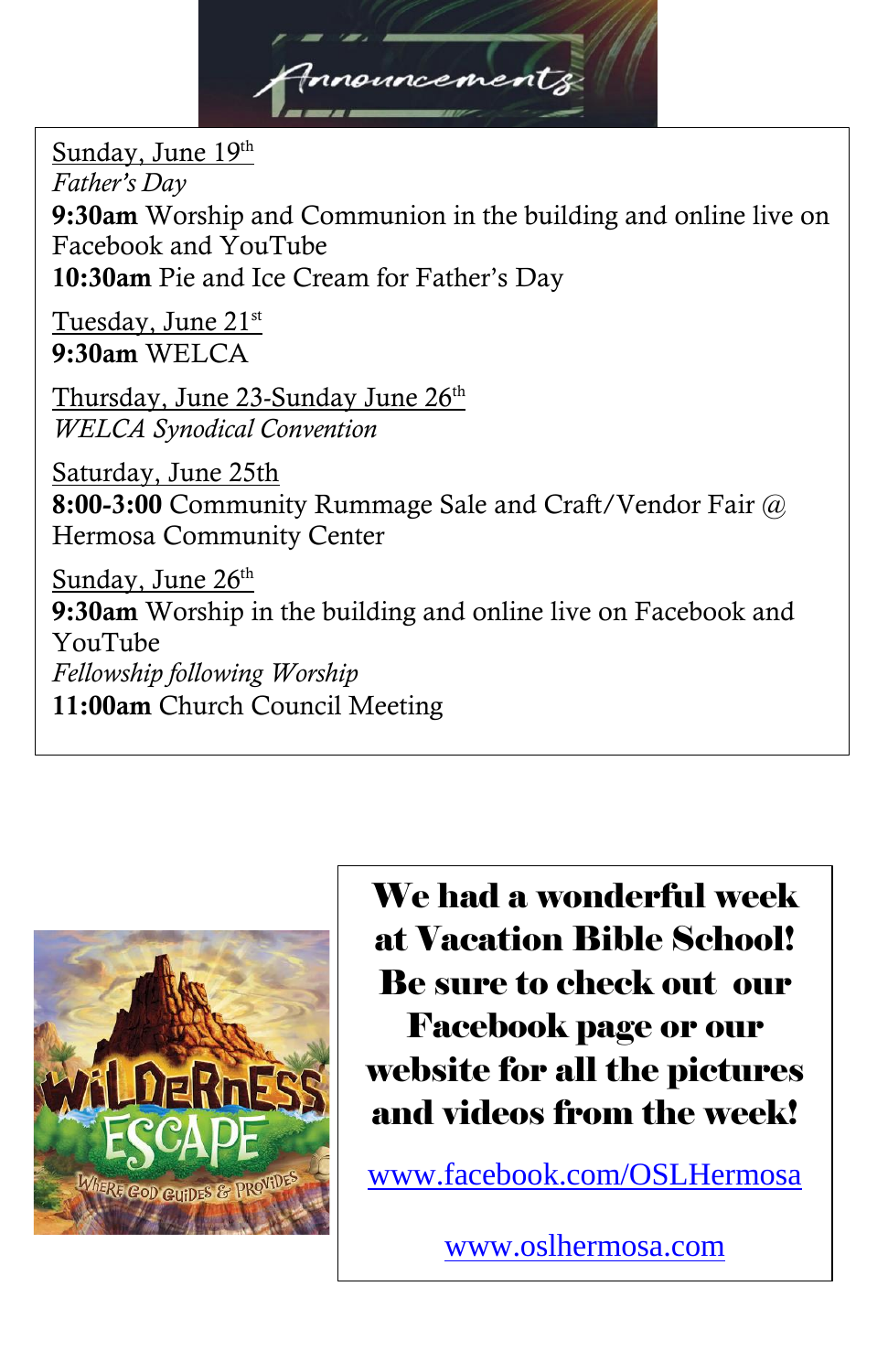nnouncements

Sunday, June 19th *Father's Day*

9:30am Worship and Communion in the building and online live on Facebook and YouTube 10:30am Pie and Ice Cream for Father's Day

Tuesday, June  $21<sup>st</sup>$ 9:30am WELCA

Thursday, June 23-Sunday June 26<sup>th</sup> *WELCA Synodical Convention*

Saturday, June 25th 8:00-3:00 Community Rummage Sale and Craft/Vendor Fair @ Hermosa Community Center

Sunday, June 26<sup>th</sup> 9:30am Worship in the building and online live on Facebook and YouTube *Fellowship following Worship* 11:00am Church Council Meeting



We had a wonderful week at Vacation Bible School! Be sure to check out our Facebook page or our

website for all the pictures and videos from the week!

[www.facebook.com/OSLHermosa](http://www.facebook.com/OSLHermosa)

[www.oslhermosa.com](http://www.oslhermosa.com/)